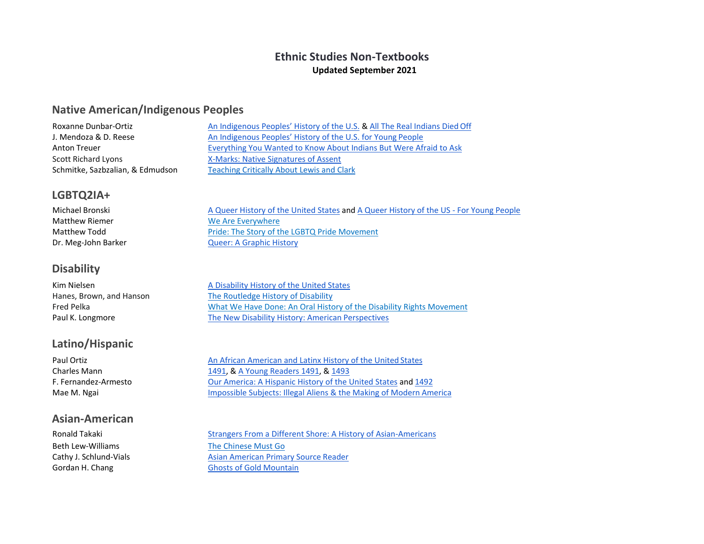## **Ethnic Studies Non-Textbooks Updated September 2021**

### **Native American/Indigenous Peoples**

| An Indigenous Peoples' History of the U.S. & All The Real Indians Died Off |
|----------------------------------------------------------------------------|
| An Indigenous Peoples' History of the U.S. for Young People                |
| Everything You Wanted to Know About Indians But Were Afraid to Ask         |
| X-Marks: Native Signatures of Assent                                       |
| <b>Teaching Critically About Lewis and Clark</b>                           |
|                                                                            |

### **LGBTQ2IA+**

| Michael Bronski       | A Queer History of the United States and A Queer History of the US - For Young People |
|-----------------------|---------------------------------------------------------------------------------------|
| <b>Matthew Riemer</b> | We Are Everywhere                                                                     |
| Matthew Todd          | Pride: The Story of the LGBTQ Pride Movement                                          |
| Dr. Meg-John Barker   | <b>Queer: A Graphic History</b>                                                       |

## **Disability**

| Kim Nielsen              | A Disability History of the United States                            |
|--------------------------|----------------------------------------------------------------------|
| Hanes, Brown, and Hanson | The Routledge History of Disability                                  |
| Fred Pelka               | What We Have Done: An Oral History of the Disability Rights Movement |
| Paul K. Longmore         | The New Disability History: American Perspectives                    |

## **Latino/Hispanic**

### **Asian-American**

Beth Lew-Williams [The Chinese Must Go](https://www.amazon.com/gp/product/0674976010?pd_rd_r=4a23000f-2f98-4378-8f2e-fc830fe964f0&pd_rd_w=SHk5L&pd_rd_wg=HYfAj&pf_rd_p=5ae2c7f8-e0c6-4f35-9071-dc3240e894a8&pf_rd_r=EEYNJ4REYXEWVF2RGC5Q&ref_=pd_gw_unk&utm_medium=email&utm_source=govdelivery)

Paul Ortiz **[An African American and Latinx History of the United](https://www.amazon.com/African-American-Latinx-History-ReVisioning/dp/0807005932/ref%3Dsr_1_3?keywords=An%2BAfrican%2BAmerican%2Band%2BLatinx%2BHistory%2Bof%2Bthe%2BUnited%2BStates&qid=1570642330&s=books&sr=1-3) States** Charles Mann [1491, &](https://www.amazon.com/1491-Revelations-Americas-Before-Columbus/dp/1400032059/ref%3Dsr_1_1?keywords=1491&qid=1570642151&s=books&sr=1-1) [A Young Readers 1491, &](https://www.amazon.com/Before-Columbus-Americas-Charles-Mann/dp/1416949003/ref%3Dsr_1_3?keywords=1491&qid=1570642169&s=books&sr=1-3) [1493](https://www.amazon.com/1493-Uncovering-World-Columbus-Created/dp/0307278247/ref%3Dsr_1_2?keywords=1491&qid=1570642169&s=books&sr=1-2)  F. Fernandez-Armesto **[Our America: A Hispanic History of the United States](https://www.amazon.com/Our-America-Hispanic-History-United/dp/0393349829/ref%3Dsr_1_1?keywords=Our%2BAmerica%3A%2BA%2BHispanic%2BHistory%2Bof%2Bthe%2BUnited%2BStates&qid=1570642119&s=books&sr=1-1) and [1492](https://www.amazon.com/1492-World-Began-Felipe-Fernandez-Armesto/dp/0061132284/ref%3Dpd_sbs_14_3/130-7039235-4036628?_encoding=UTF8&pd_rd_i=0061132284&pd_rd_r=708e36b2-a6c7-4e1d-b259-5de428893c03&pd_rd_w=BzDSo&pd_rd_wg=6Fv8n&pf_rd_p=d66372fe-68a6-48a3-90ec-41d7f64212be&pf_rd_r=HPEJHWZMP16S4W92TQVH&psc=1&refRID=HPEJHWZMP16S4W92TQVH)** Mae M. Ngai **[Impossible Subjects: Illegal Aliens & the Making of Modern](https://www.amazon.com/Impossible-Subjects-Illegal-America-Politics-ebook/dp/B00HKMUY5C/ref%3Dsr_1_1?keywords=Impossible%2BSubjects%3A%2BIllegal%2BAliens%2B%26%2Bthe%2BMaking%2Bof%2BModern%2BAmerica&qid=1570642095&s=books&sr=1-1) America** 

Ronald Takaki [Strangers From a Different Shore: A History of Asian-Americans](https://www.amazon.com/Strangers-Different-Shore-History-Americans/dp/0316831301/ref%3Dsr_1_6?crid=34EXA9ZJIYTCE&keywords=asian%2Bamerican%2Bhistory&qid=1572912319&s=books&sprefix=asian%2Bamerican%2Bhist%2Cstripbooks%2C208&sr=1-6) Cathy J. Schlund-Vials<br>
Gordan H. Chang<br>
Ghosts of Gold Mountain [Ghosts of Gold](https://www.amazon.com/s?k=GHOSTS%2BOF%2BGOLD%2BMOUNTAIN&ref=nb_sb_noss) Mountain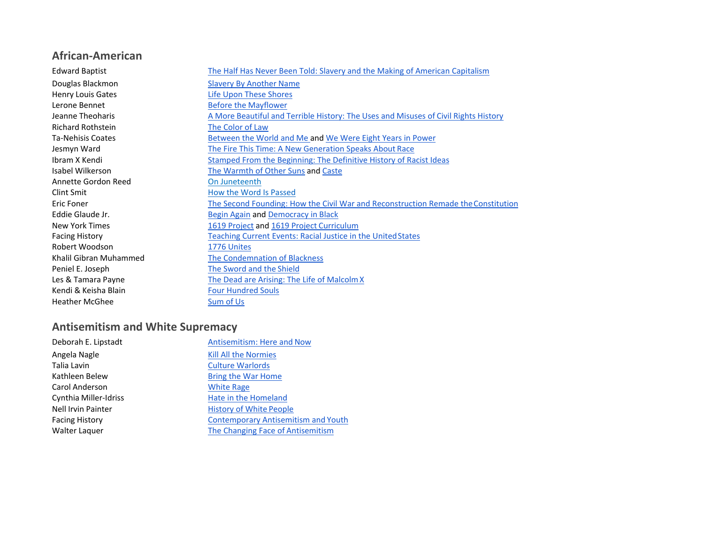## **African-American**

| <b>Edward Baptist</b>    | The Half Has Never Been Told: Slavery and the Making of American Capitalism         |
|--------------------------|-------------------------------------------------------------------------------------|
| Douglas Blackmon         | <b>Slavery By Another Name</b>                                                      |
| <b>Henry Louis Gates</b> | <b>Life Upon These Shores</b>                                                       |
| Lerone Bennet            | <b>Before the Mayflower</b>                                                         |
| Jeanne Theoharis         | A More Beautiful and Terrible History: The Uses and Misuses of Civil Rights History |
| <b>Richard Rothstein</b> | The Color of Law                                                                    |
| Ta-Nehisis Coates        | Between the World and Me and We Were Eight Years in Power                           |
| Jesmyn Ward              | The Fire This Time: A New Generation Speaks About Race                              |
| Ibram X Kendi            | Stamped From the Beginning: The Definitive History of Racist Ideas                  |
| Isabel Wilkerson         | The Warmth of Other Suns and Caste                                                  |
| Annette Gordon Reed      | On Juneteenth                                                                       |
| Clint Smit               | How the Word Is Passed                                                              |
| Eric Foner               | The Second Founding: How the Civil War and Reconstruction Remade the Constitution   |
| Eddie Glaude Jr.         | <b>Begin Again and Democracy in Black</b>                                           |
| <b>New York Times</b>    | 1619 Project and 1619 Project Curriculum                                            |
| <b>Facing History</b>    | <b>Teaching Current Events: Racial Justice in the United States</b>                 |
| Robert Woodson           | 1776 Unites                                                                         |
| Khalil Gibran Muhammed   | The Condemnation of Blackness                                                       |
| Peniel E. Joseph         | The Sword and the Shield                                                            |
| Les & Tamara Payne       | The Dead are Arising: The Life of Malcolm X                                         |
| Kendi & Keisha Blain     | <b>Four Hundred Souls</b>                                                           |
| <b>Heather McGhee</b>    | Sum of Us                                                                           |
|                          |                                                                                     |

# **Antisemitism and White Supremacy**

| Antisemitism: Here and Now                 |
|--------------------------------------------|
| <b>Kill All the Normies</b>                |
| <b>Culture Warlords</b>                    |
| <b>Bring the War Home</b>                  |
| <b>White Rage</b>                          |
| Hate in the Homeland                       |
| <b>History of White People</b>             |
| <b>Contemporary Antisemitism and Youth</b> |
| The Changing Face of Antisemitism          |
|                                            |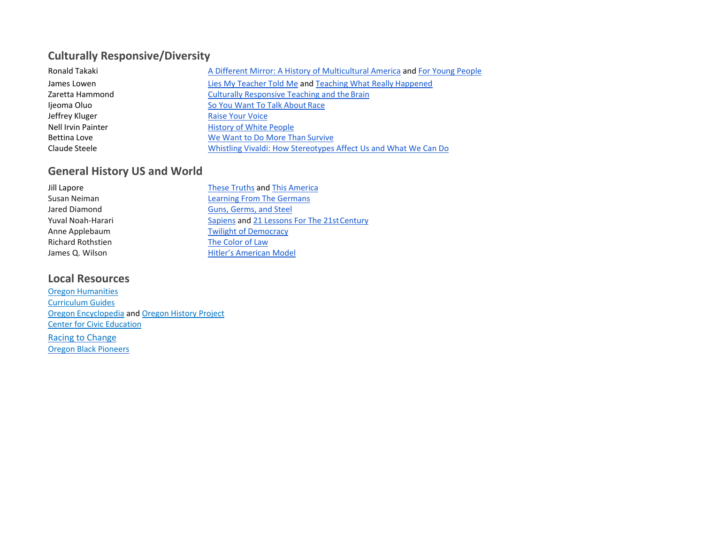## **Culturally Responsive/Diversity**

| Ronald Takaki      | A Different Mirror: A History of Multicultural America and For Young People |
|--------------------|-----------------------------------------------------------------------------|
| James Lowen        | Lies My Teacher Told Me and Teaching What Really Happened                   |
| Zaretta Hammond    | <b>Culturally Responsive Teaching and the Brain</b>                         |
| Ijeoma Oluo        | So You Want To Talk About Race                                              |
| Jeffrey Kluger     | <b>Raise Your Voice</b>                                                     |
| Nell Irvin Painter | <b>History of White People</b>                                              |
| Bettina Love       | We Want to Do More Than Survive                                             |
| Claude Steele      | Whistling Vivaldi: How Stereotypes Affect Us and What We Can Do             |

## **General History US and World**

| Jill Lapore              | These Truths and This America               |
|--------------------------|---------------------------------------------|
| Susan Neiman             | <b>Learning From The Germans</b>            |
| Jared Diamond            | Guns, Germs, and Steel                      |
| Yuval Noah-Harari        | Sapiens and 21 Lessons For The 21st Century |
| Anne Applebaum           | <b>Twilight of Democracy</b>                |
| <b>Richard Rothstien</b> | The Color of Law                            |
| James Q. Wilson          | <b>Hitler's American Model</b>              |

## **Local Resources**

[Oregon Humanities](http://oregonhumanities.org/curriculum-guides/) [Curriculum Guides](http://oregonhumanities.org/curriculum-guides/) [Oregon Encyclopedia](https://oregonencyclopedia.org/) an[d Oregon History Project](https://oregonhistoryproject.org/) [Center for Civic Education](https://www.civiced.org/resources/curriculum/lesson-plans) [Racing to Change](https://blogs.uoregon.edu/racingtochange/?utm_source=Museum%20of%20Natural%20and%20Cultural%20History&utm_campaign=71d515e7e6-EMAIL_CAMPAIGN_2020_10_24_12_01&utm_medium=email&utm_term=0_2948f1ce6b-71d515e7e6-112194211) [Oregon Black Pioneers](https://oregonblackpioneers.org/)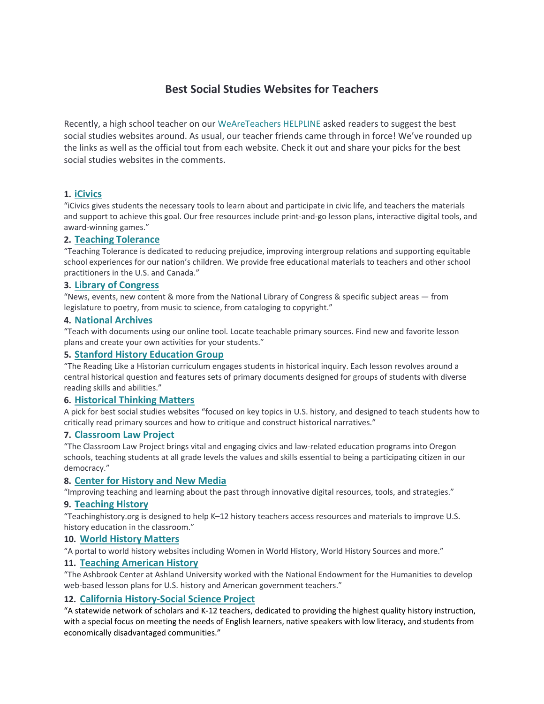## **Best Social Studies Websites for Teachers**

Recently, a high school teacher on our [WeAreTeachers HELPLINE a](https://www.facebook.com/groups/weareteachershelpline/)sked readers to suggest the best social studies websites around. As usual, our teacher friends came through in force! We've rounded up the links as well as the official tout from each website. Check it out and share your picks for the best social studies websites in the comments.

#### **1. [iCivics](https://www.icivics.org/)**

"iCivics gives students the necessary tools to learn about and participate in civic life, and teachers the materials and support to achieve this goal. Our free resources include print-and-go lesson plans, interactive digital tools, and award-winning games."

#### **2. Teaching [Tolerance](http://www.tolerance.org/)**

"Teaching Tolerance is dedicated to reducing prejudice, improving intergroup relations and supporting equitable school experiences for our nation's children. We provide free educational materials to teachers and other school practitioners in the U.S. and Canada."

#### **3. [Library of](https://www.loc.gov/) Congress**

"News, events, new content & more from the National Library of Congress & specific subject areas — from legislature to poetry, from music to science, from cataloging to copyright."

#### **4. [National Archives](https://www.archives.gov/education)**

"Teach with documents using our online tool. Locate teachable primary sources. Find new and favorite lesson plans and create your own activities for your students."

#### **5. [Stanford History Education](http://sheg.stanford.edu/rlh) Group**

"The Reading Like a Historian curriculum engages students in historical inquiry. Each lesson revolves around a central historical question and features sets of primary documents designed for groups of students with diverse reading skills and abilities."

#### **6. [Historical Thinking](http://historicalthinkingmatters.org/) Matters**

A pick for best social studies websites "focused on key topics in U.S. history, and designed to teach students how to critically read primary sources and how to critique and construct historical narratives."

#### **7. [Classroom Law](http://www.classroomlaw.org/) Project**

"The Classroom Law Project brings vital and engaging civics and law-related education programs into Oregon schools, teaching students at all grade levels the values and skills essential to being a participating citizen in our democracy."

#### **8. [Center for History and New](http://chnm.gmu.edu/teaching-and-learning/) Media**

"Improving teaching and learning about the past through innovative digital resources, tools, and strategies."

#### **9. [Teaching History](http://teachinghistory.org/)**

"Teachinghistory.org is designed to help K–12 history teachers access resources and materials to improve U.S. history education in the classroom."

#### **10. [World History](http://worldhistorymatters.org/) Matters**

"A portal to world history websites including Women in World History, World History Sources and more."

#### **11. [Teaching American](http://teachingamericanhistory.org/teacher-resources/lesson-plans/neh/) History**

"The Ashbrook Center at Ashland University worked with the National Endowment for the Humanities to develop web-based lesson plans for U.S. history and American government teachers."

#### **12. [California History-Social Science](http://chssp.ucdavis.edu/) Project**

"A statewide network of scholars and K-12 teachers, dedicated to providing the highest quality history instruction, with a special focus on meeting the needs of English learners, native speakers with low literacy, and students from economically disadvantaged communities."